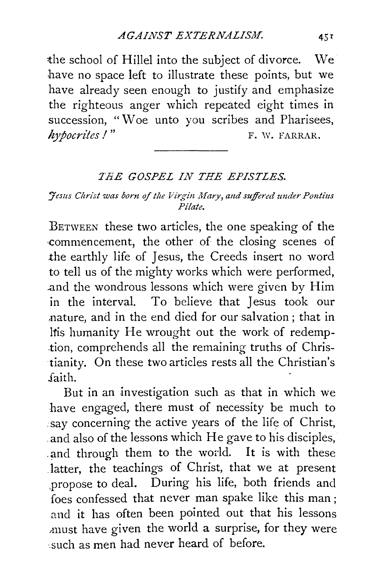the school of Hillel into the subject of divorce. We have no space left to illustrate these points, but we have already seen enough to justify and emphasize the righteous anger which repeated eight times in succession, "Woe unto you scribes and Pharisees, *hypocrites!*" F. W. FARRAR.

## *TEE GOSPEL IN THE EPISTLES.*

## *Hesus Christ was born of the Virgin Mary, and suffered under Pontius Pilate.*

BETWEEN these two articles, the one speaking of the ·commencement, the other of the closing scenes of .the earthly life of Jesus, the Creeds insert no word to tell us of the mighty works which were performed, .and the wondrous lessons which were given by Him in the interval. To believe that Jesus took our ~nature, and in the end died for our salvation ; that in ltis humanity He wrought out the work of redemption, comprehends all the remaining truths of Christianity. On these two articles rests all the Christian's .faith.

But in an investigation such as that in which we have engaged, there must of necessity be much to say concerning the active years of the life of Christ, and also of the lessons which He gave to his disciples, .and through them to the world. It is with these latter, the teachings of Christ, that we at present .propose to deal. During his life, both friends and foes confessed that never man spake like this man ; and it has often been pointed out that his lessons ,must have given the world a surprise, for they were such as men had never heard of before.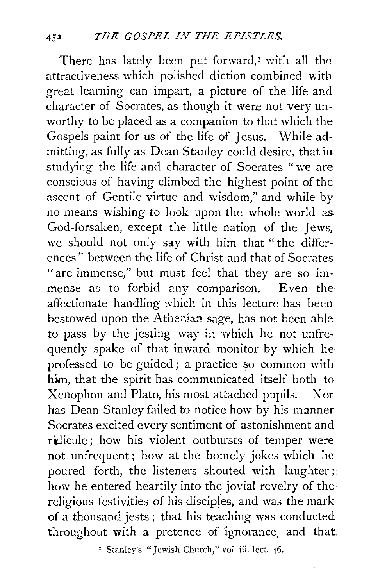There has lately been put forward, $I$  with all the attractiveness which polished diction combined with great learning can impart, a picture of the life and character of Socrates, as though it were not very unworthy to be placed as a companion to that which the Gospels paint for us of the life of *]* esus. While admitting, as fully as Dean Stanley could desire, that in studying the life and character of Socrates "we are conscious of having climbed the highest point of the ascent of Gentile virtue and wisdom," and while by no means wishing to look upon the whole world as God-forsaken, except the little nation of the Jews, we should not only say with him that "the differences " between the life of Christ and that of Socrates "are immense," but must feel that they are so immense as to forbid any comparison. Even the affectionate handling which in this lecture has been bestowed upon the Athenian sage, has not been able to pass by the jesting way in which he not unfrequently spake of that inward monitor by which he professed to be guided ; a practice so common with him, that the spirit has communicated itself both to Xenophon and Plato, his most attached pupils. Nor has Dean Stanley failed to notice how by his manner Socrates excited every sentiment of astonishment and ridicule; how his violent outbursts of temper were not unfrequent; how at the homely jokes which he poured forth, the listeners shouted with laughter; how he entered heartily into the jovial revelry of the religious festivities of his disciples, and was the mark of a thousand jests; that his teaching was conducted. throughout with a pretence of ignorance, and that.

<sup>1</sup> Stanley's "Jewish Church," vol. iii. lect. 46.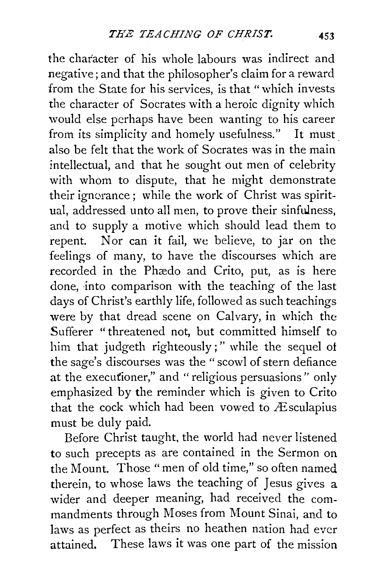the character of his whole labours was indirect and negative; and that the philosopher's claim for a reward from the State for his services, is that "which invests the character of Socrates with a heroic dignity which would else perhaps have been wanting to his career from its simplicity and homely usefulness." It must also be felt that the Work of Socrates was in the main intellectual, and that he sought out men of celebrity with whom to dispute, that he might demonstrate their ignorance; while the work of Christ was spiritual, addressed unto all men, to prove their sinfulness, and to supply a motive which should lead them to repent. Nor can it fail, we believe, to jar on the feelings of many, to have the discourses which are recorded in the Phædo and Crito, put, as is here done, into comparison with the teaching of the last days of Christ's earthly life, followed as such teachings were by that dread scene on Calvary, in which the Sufferer "threatened not, but committed himself to him that judgeth righteously;" while the sequel of the sage's discourses was the" scowl of stern defiance at the executioner," and "religious persuasions" only emphasized by the reminder which is given to Crito that the cock which had been vowed to  $\overline{E}$  sculapius must be duly paid.

Before Christ taught, the world had never listened to such precepts as are contained in the Sermon on the Mount. Those "men of old time," so often named therein, to whose laws the teaching of Jesus gives a wider and deeper meaning, had received the commandments through Moses from Mount Sinai, and to laws as perfect as theirs no heathen nation had ever attained. These laws it was one part of the mission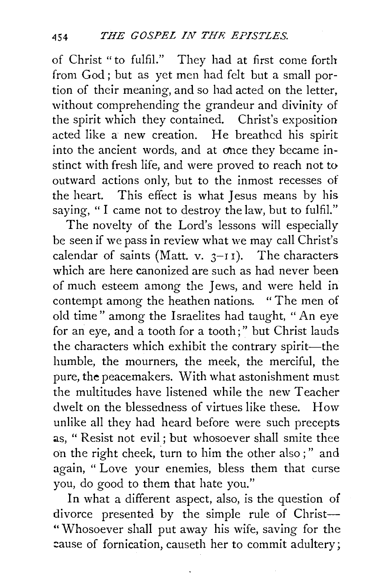of Christ "to fulfil." They had at first come forth from God; but as yet men had felt but a small portion of their meaning, and so had acted on the letter, without comprehending the grandeur and divinity of the spirit which they contained. Christ's exposition acted like a new creation. He breathed his spirit into the ancient words, and at once they became instinct with fresh life, and were proved to reach not to outward actions only, but to the inmost recesses of the heart. This effect is what Jesus means by his saying, "I came not to destroy the law, but to fulfil."

The novelty of the Lord's lessons will especially be seen if we pass in review what we may call Christ's calendar of saints (Matt. v.  $3-11$ ). The characters which are here canonized are such as had never been of much esteem among the Jews, and were held in contempt among the heathen nations. "The men of old time" among the Israelites had taught, "An eye for an eye, and a tooth for a tooth;" but Christ lauds the characters which exhibit the contrary spirit-the humble, the mourners, the meek, the merciful, the pure, **the** peacemakers. With what astonishment must the multitudes have listened while the new Teacher dwelt on the blessedness of virtues like these. How unlike all they had heard before were such precepts as, "Resist not evil; but whosoever shall smite thee on the right cheek, turn to him the other also ; " and again, " Love your enemies, bless them that curse you, do good to them that hate you."

In what a different aspect, also, is the question of divorce presented by the simple rule of Christ-" Whosoever shall put away his wife, saving for the cause of fornication, causeth her to commit adultery;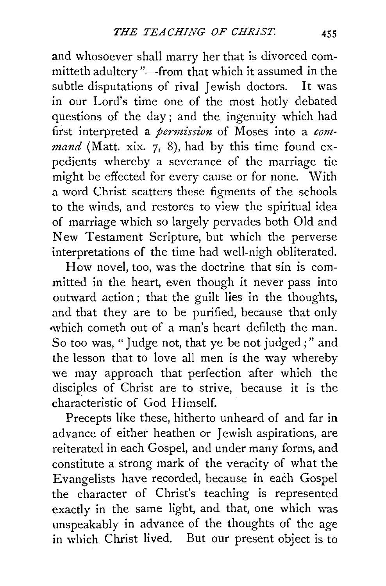and whosoever shall marry her that is divorced committeth adultery "-from that which it assumed in the subtle disputations of rival Jewish doctors. It was in our Lord's time one of the most hotly debated questions of the day ; and the ingenuity which had first interpreted a *permission* of Moses into a *command* (Matt. xix. 7, 8), had by this time found expedients whereby a severance of the marriage tie might be effected for every cause or for none. With a word Christ scatters these figments of the schools to the winds, and restores to view the spiritual idea of marriage which so largely pervades both Old and New Testament Scripture, but which the perverse interpretations of the time had well-nigh obliterated.

How novel, too, was the doctrine that sin is committed in the heart, even though it never pass into outward action ; that the guilt lies in the thoughts, and that they are to be purified, because that only which cometh out of a man's heart defileth the man. So too was, "Judge not, that ye be not judged ; " and the lesson that to love all men is the way whereby we may approach that perfection after which the disciples of Christ are to strive, because it is the characteristic of God Himself.

Precepts like these, hitherto unheard of and far in advance of either heathen or Jewish aspirations, are reiterated in each Gospel, and under many forms, and constitute a strong mark of the veracity of what the Evangelists have recorded, because in each Gospel the character of Christ's teaching is represented exactly in the same light, and that, one which was unspeakably in advance of the thoughts of the age in which Christ lived. But our present object is to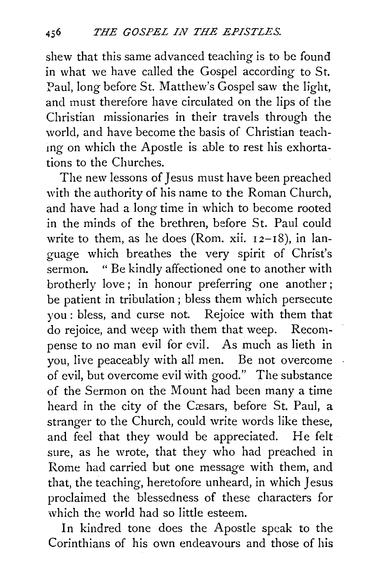shew that this same advanced teaching is to be found in what we have called the Gospel according to St. Paul, long before St. Matthew's Gospel saw the light, and must therefore have circulated on the lips of the Christian missionaries in their travels through the world, and have become the basis of Christian teachmg on which the Apostle is able to rest his exhortations to the Churches.

The new lessons of Jesus must have been preached with the authority of his name to the Roman Church, and have had a long time in which to become rooted in the minds of the brethren, before St. Paul could write to them, as he does (Rom. xii.  $12-18$ ), in language which breathes the very spirit of Christ's sermon. " Be kindly affectioned one to another with brotherly love; in honour preferring one another; be patient in tribulation; bless them which persecute you : bless, and curse not. Rejoice with them that do rejoice, and weep with them that weep. Recompense to no man evil for evil. As much as lieth in you, live peaceably with all men. Be not overcome of evil, but overcome evil with good." The substance of the Sermon on the Mount had been many a time heard in the city of the Cæsars, before St. Paul, a stranger to the Church, could write words like these, and feel that they would be appreciated. He felt sure, as he wrote, that they who had preached in Rome had carried but one message with them, and that, the teaching, heretofore unheard, in which Jesus proclaimed the blessedness of these characters for which the world had so little esteem.

In kindred tone does the Apostle speak to the Corinthians of his own endeavours and those of his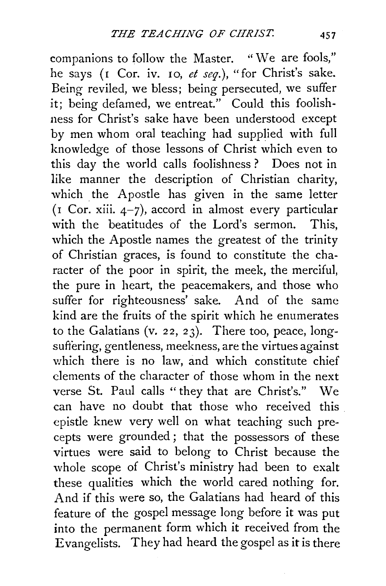companions to follow the Master. "We are fools," he says (r Cor. iv. 10, *et seq.),* "for Christ's sake. Being reviled, we bless; being persecuted, we suffer it; being defamed, we entreat." Could this foolishness for Christ's sake have been understood except by men whom oral teaching had supplied with full knowledge of those lessons of Christ which even to this day the world calls foolishness ? Does not in like manner the description of Christian charity, which the Apostle has given in the same letter  $($ I Cor. xiii.  $4-7$ ), accord in almost every particular with the beatitudes of the Lord's sermon. This, which the Apostle names the greatest of the trinity of Christian graces, is found to constitute the character of the poor in spirit, the meek, the merciful, the pure in heart, the peacemakers, and those who suffer for righteousness' sake. And of the same kind are the fruits of the spirit which he enumerates to the Galatians (v. 22, 23). There too, peace, longsuffering, gentleness, meekness, are the virtues against which there is no law, and which constitute chief elements of the character of those whom in the next verse St. Paul calls "they that are Christ's." We can have no doubt that those who received this epistle knew very well on what teaching such precepts were grounded ; that the possessors of these virtues were said to belong to Christ because the whole scope of Christ's ministry had been to exalt these qualities which the world cared nothing for. And if this were so, the Galatians had heard of this feature of the gospel message long before it was put into the permanent form which it received from the Evangelists. They had heard the gospel as it is there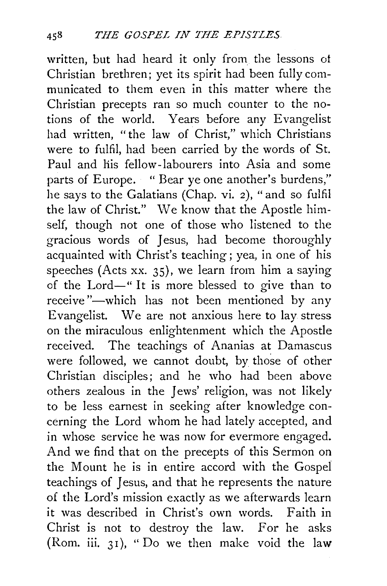written, but had heard it only from the lessons of Christian brethren; yet its spirit had been fully communicated to them even in this matter where the Christian precepts ran so much counter to the notions of the world. Years before any Evangelist had written, "the law of Christ," which Christians were to fulfil, had been carried by the words of St. Paul and his fellow-labourers into Asia and some parts of Europe. " Bear ye one another's burdens," he says to the Galatians (Chap. vi. 2), "and so fulfil the law of Christ." We know that the Apostle himself, though not one of those who listened to the gracious words of Jesus, had become thoroughly acquainted with Christ's teaching; yea, in one of his speeches (Acts xx. 35), we learn from him a saying of the Lord-" It is more blessed to give than to receive "-which has not been mentioned by any Evangelist. We are not anxious here to lay stress on the miraculous enlightenment which the Apostle received. The teachings of Ananias at Damascus were followed, we cannot doubt, by those of other Christian disciples; and he who had been above others zealous in the Jews' religion, was not likely to be less earnest in seeking after knowledge concerning the Lord whom he had lately accepted, and in whose service he was now for evermore engaged. And we find that on the precepts of this Sermon on the Mount he is in entire accord with the Gospel teachings of Jesus, and that he represents the nature of the Lord's mission exactly as we afterwards learn it was described in Christ's own words. Faith in Christ is not to destroy the law. For he asks (Rom. iii. 31), "Do we then make void the law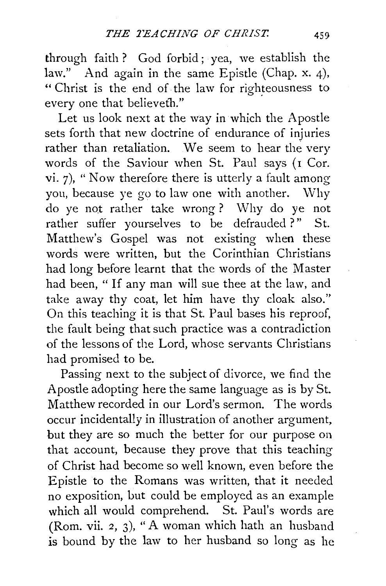through faith ? God forbid ; yea, we establish the law." And again in the same Epistle (Chap. x. 4), "Christ is the end of the law for righteousness to every one that believeth."

Let us look next at the way in which the Apostle sets forth that new doctrine of endurance of injuries rather than retaliation. We seem to hear the very words of the Saviour when St. Paul says (I Cor. vi. 7), "Now therefore there is utterly a fault among you, because ye go to law one with another. Why do ye not rather take wrong? Why do ye not rather suffer yourselves to be defrauded?" St. Matthew's Gospel was not existing when these words were written, but the Corinthian Christians had long before learnt that the words of the Master had been, " If any man will sue thee at the law, and take away thy coat, let him have thy cloak also." On this teaching it is that St. Paul bases his reproof, the fault being that such practice was a contradiction of the lessons of the Lord, whose servants Christians had promised to be.

Passing next to the subject of divorce, we find the Apostle adopting here the same language as is by St. Matthew recorded in our Lord's sermon. The words occur incidentally in illustration of another argument, but they are so much the better for our purpose on that account, because they prove that this teaching of Christ had become so well known, even before the Epistle to the Romans was written, that it needed no exposition, but could be employed as an example which all would comprehend. St. Paul's words are (Rom. vii. 2, 3), "A woman which hath an husband is bound by the law to her husband so long as he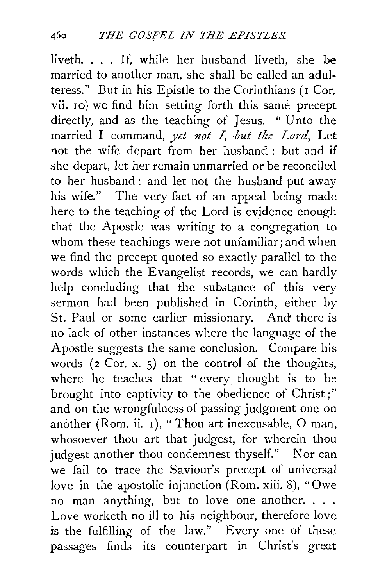liveth. . . . If, while her husband liveth, she be married to another man, she shall be called an adulteress." But in his Epistle to the Corinthians (r Cor. vii. 10) we find him setting forth this same precept directly, and as the teaching of Jesus. " Unto the married I command, yet not I, but the Lord, Let not the wife depart from her husband : but and if she depart, let her remain unmarried or be reconciled to her husband: and let not the husband put away his wife." The very fact of an appeal being made here to the teaching of the Lord is evidence enough that the Apostle was writing to a congregation to whom these teachings were not unfamiliar; and when we find the precept quoted so exactly parallel to the words which the Evangelist records, we can hardly help concluding that the substance of this very sermon had been published in Corinth, either by St. Paul or some earlier missionary. And there is no lack of other instances where the language of the Apostle suggests the same conclusion. Compare his words  $(2 \text{ Cor. } x. 5)$  on the control of the thoughts, where he teaches that " every thought is to be brought into captivity to the obedience of Christ;" and on the wrongfulness of passing judgment one on another (Rom. ii. I), "Thou art inexcusable, 0 man, whosoever thou art that judgest, for wherein thou judgest another thou condemnest thyself." Nor can we fail to trace the Saviour's precept of universal love in the apostolic injunction (Rom. xiii. 8), "Owe no man anything, but to love one another. . . . Love worketh no ill to his neighbour, therefore love is the fulfilling of the law." Every one of these passages finds its counterpart in Christ's great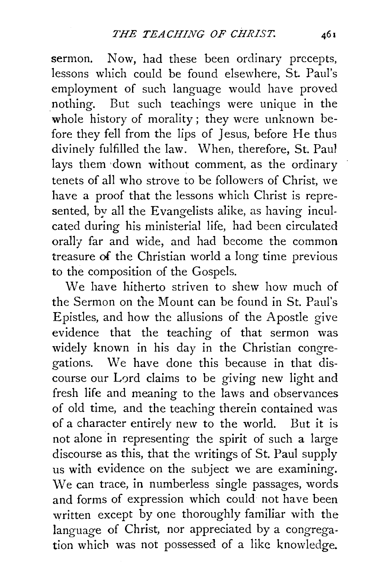sermon. Now, had these been ordinary precepts, lessons which could be found elsewhere, St. Paul's employment of such language would have proved nothing. But such teachings were unique in the whole history of morality; they were unknown before they fell from the lips of Jesus, before He thus divinely fulfilled the law. When, therefore, St. Pau1 lays them ·down without comment, as the ordinary tenets of all who strove to be followers of Christ, we have a proof that the lessons which Christ is represented, by all the Evangelists alike, as having inculcated during his ministerial life, had been circulated orally far and wide, and had become the common treasure of the Christian world a long time previous to the composition of the Gospels.

We have hitherto striven to shew how much of the Sermon on the Mount can be found in St. Paul's Epistles, and how the allusions of the Apostle give evidence that the teaching of that sermon was widely known in his day in the Christian congregations. We have done this because in that discourse our Lord claims to be giving new light and fresh life and meaning to the laws and observances of old time, and the teaching therein contained was of a character entirely new to the world. But it is not alone in representing the spirit of such a large discourse as this, that the writings of St. Paul supply us with evidence on the subject we are examining. \Ve can trace, in numberless single passages, words and forms of expression which could not have been written except by one thoroughly familiar with the language of Christ, nor appreciated by a congregation which was not possessed of a like knowledge.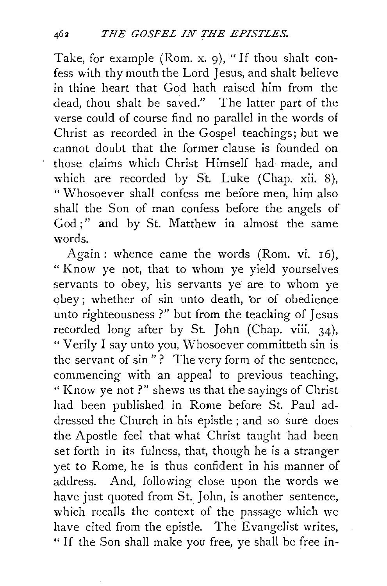Take, for example (Rom. x. 9), "If thou shalt confess with thy mouth the Lord Jesus, and shalt believe in thine heart that God hath raised him from the dead, thou shalt be saved." The latter part of the verse could of course find no parallel in the words of Christ as recorded in the Gospel teachings; but we cannot doubt that the former clause is founded on those claims which Christ Himself had made, and which are recorded by St. Luke (Chap. xii. 8), " Whosoever shall confess me before men, him also shall the Son of man confess before the angels of God :" and by St. Matthew in almost the same words.

Again: whence came the words (Rom. vi. 16), " Know ye not, that to whom ye yield yourselves servants to obey, his servants ye are to whom ye *obey; whether of sin unto death, or of obedience* unto righteousness ?" but from the teaching of Jesus recorded long after by St. John (Chap. viii. 34), "Verily I say unto you, Whosoever committeth sin is the servant of sin"? The very form of the sentence, commencing with an appeal to previous teaching, "Know ye not?" shews us that the sayings of Christ had been published in Rome before St. Paul addressed the Church in his epistle ; and so sure does the Apostle feel that what Christ taught had been set forth in its fulness, that, though he is a stranger yet to Rome, he is thus confident in his manner of address. And, following close upon the words we have just quoted from St. John, is another sentence, which recalls the context of the passage which we have cited from the epistle. The Evangelist writes, " If the Son shall make you free, ye shall be free in-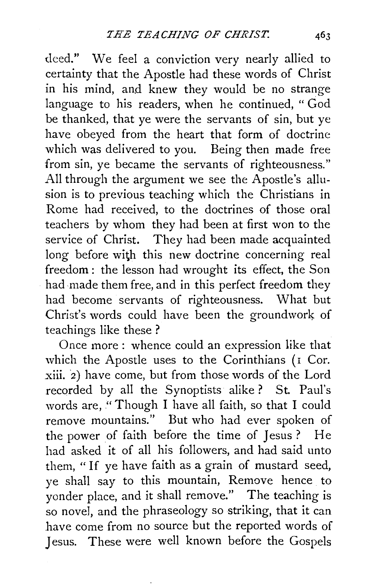deed." We feel a conviction very nearly allied to certainty that the Apostle had these words of Christ in his mind, and knew they would be no strange language to his readers, when he continued, "God be thanked, that ye were the servants of sin, but ye have obeyed from the heart that form of doctrine which was delivered to you. Being then made free from sin, ye became the servants of righteousness." All through the argument we see the Apostle's allusion is to previous teaching which the Christians in Rome had received, to the doctrines of those oral teachers by whom they had been at first won to the service of Christ. They had been made acquainted long before with this new doctrine concerning real freedom : the lesson had wrought its effect, the Son had made them free, and in this perfect freedom they had become servants of righteousness. What but Christ's words could have been the groundwork of teachings like these ?

Once more: whence could an expression like that which the Apostle uses to the Corinthians (I Cor. xiii. 2) have come, but from those words of the Lord recorded by all the Synoptists alike? St. Paul's words are, "Though I have all faith, so that I could remove mountains." But who had ever spoken of the power of faith before the time of Jesus? He had asked it of all his followers, and had said unto them, " If ye have faith as a grain of mustard seed, ye shall say to this mountain, Remove hence to yonder place, and it shall remove." The teaching is so novel, and the phraseology so striking, that it can have come from no source but the reported words of Jesus. These were well known before the Gospels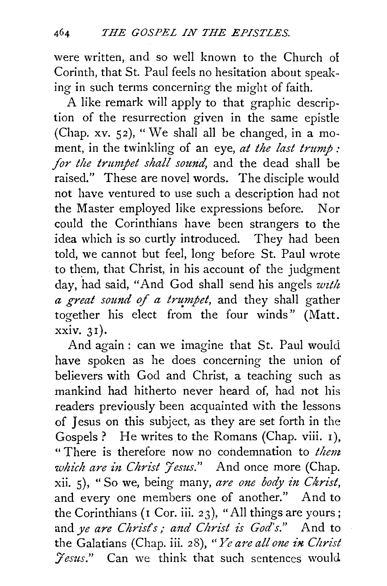were written, and so well known to the Church of Corinth, that St. Paul feels no hesitation about speaking in such terms concerning the might of faith.

A like remark will apply to that graphic description of the resurrection given in the same epistle (Chap. xv.  $52$ ), "We shall all be changed, in a moment, in the twinkling of an eye, *at the last trump :*  for the trumpet shall sound, and the dead shall be raised." These are novel words. The disciple would not have ventured to use such a description had not the Master employed like expressions before. Nor could the Corinthians have been strangers to the idea which is so curtly introduced. They had been told, we cannot but feel, long before St. Paul wrote to them, that Christ, in his account of the judgment day, had said, "And God shall send his angels with *a great sound of a trumpet*, and they shall gather together his elect from the four winds" (Matt. xxiv. 31).

And again : can we imagine that St. Paul would have spoken as he does concerning the union of believers with God and Christ, a teaching such as mankind had hitherto never heard of, had not his readers previously been acquainted with the lessons of Jesus on this subject, as they are set forth in the Gospels? He writes to the Romans (Chap. viii. I), " There is therefore now no condemnation to *them which are in Christ Jesus.*" And once more (Chap. xii. 5), "So we, being many, are one body in Christ, and every one members one of another." And to the Corinthians ( $I$  Cor. iii. 23), "All things are yours; and *ye are Christ's; and Christ is God's.*" And to the Galatians (Chap. iii. 28), "Ye are all one in Christ *:Jesus."* Can we think that such sentences would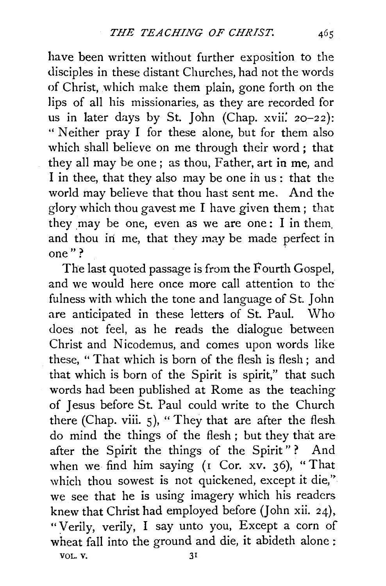have been written without further exposition to the disciples in these distant Churches, had not the words of Christ, which make them plain, gone forth on the lips of all his missionaries, as they are recorded for us in later days by St. John (Chap.  $xvii'$ . 20-22): "Neither pray I for these alone, but for them also which shall believe on me through their word; that they all may be one; as thou, Father, art in me, and I in thee, that they also may be one ih us: that the world may believe that thou hast sent me. And the glory which thou gavest me I have given them ; that they may be one, even as we are one: I in them and thou in me, that they may be made perfect in one"?

The last quoted passage is from the Fourth Gospel, and we would here once more call attention to the fulness with which the tone and language of St. John are anticipated in these letters of St. Paul. Who does not feel, as he reads the dialogue between Christ and Nicodemus, and comes upon words like these, "That which is born of the flesh is flesh; and that which is born of the Spirit is spirit," that such words had been published at Rome as the teaching of Jesus before St. Paul could write to the Church there (Chap. viii.  $5$ ), "They that are after the flesh do mind the things of the flesh; but they that are after the Spirit the things of the Spirit"? And when we find him saying (r Cor. xv. 36), "That which thou sowest is not quickened, except it die," we see that he is using imagery which his readers knew that Christ had employed before (John xii. 24), ":Verily, verily, I say unto you, Except a corn of wheat fall into the ground and die, it abideth alone : VOL. V.  $31$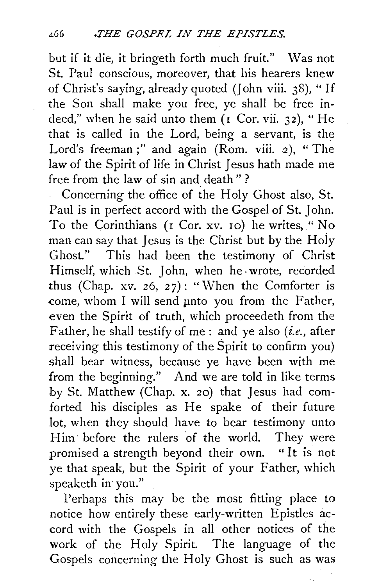but if it die, it bringeth forth much fruit." Was not St. Paul conscious, moreover, that his hearers knew of Christ's saying, already quoted (John viii. 38), "If the Son shall make you free, ye shall be free indeed," when he said unto them ( $r$  Cor. vii. 32), "He that is called in the Lord, being a servant, is the Lord's freeman;" and again (Rom. viii. 2), "The law of the Spirit of life in Christ Jesus hath made me free from the law of sin and death"?

Concerning the office of the Holy Ghost also, St. Paul is in perfect accord with the Gospel of St. John. To the Corinthians (*I* Cor. xv. 10) he writes, "No man can say that Jesus is the Christ but by the Holy Ghost." This had been the testimony of Christ Himself, which St. John, when he· wrote, recorded thus (Chap. xv. 26, 27): "When the Comforter is come, whom I will send unto you from the Father, even the Spirit of truth, which proceedeth from the Father, he shall testify of me: and ye also *(i.e.,* after receiving this testimony of the Spirit to confirm you) shall bear witness, because ye have been with me from the beginning." And we are told in like terms by St. Matthew (Chap. x. 20) that Jesus had comforted his disciples as He spake of their future *lot,* when they should have to bear testimony unto Him· before the rulers of the world. They were promised a strength beyond their own. " It is not ye that speak, but the Spirit of your Father, which speaketh in you."

Perhaps this may be the most fitting place to notice how entirely these early-written Epistles accord with the Gospels in all other notices of the work of the Holy Spirit. The language of the Gospels concerning the Holy Ghost is such as was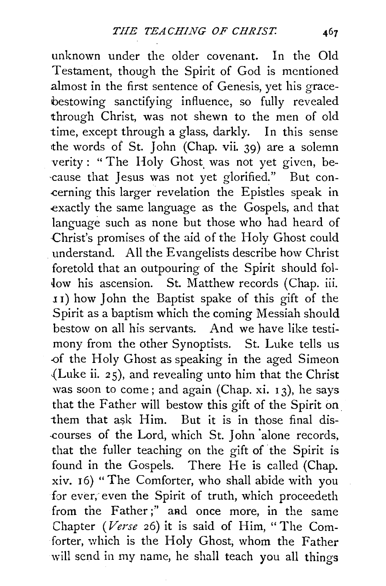unknown under the older covenant. In the Old Testament, though the Spirit of God is mentioned almost in the first sentence of Genesis, yet his gracebestowing sanctifying influence, so fully revealed through Christ, was not shewn to the men of old time, except through a glass, darkly. In this sense the words of St. John (Chap. vii. 39) are a solemn verity: "The Holy Ghost was not yet given, be--cause that Jesus was not yet glorified~" But con- .cerning this larger revelation the Epistles speak in exactly the same language as the Gospels, and that language such as none but those who had heard of .Christ's promises of the aid of the Holy Ghost could understand. All the Evangelists describe how Christ foretold that an outpouring of the Spirit should fol low his ascension. St. Matthew records (Chap. iii. <sup>1</sup>I) how John the Baptist spake of this gift of the Spirit as a baptism which the coming Messiah should bestow on all his servants. And we have like testimony from the other Synoptists. St. Luke tells us -of the Holy Ghost as speaking in the aged Simeon ..(Luke ii. *2* 5), and revealing unto him that the Christ was soon to come; and again (Chap. xi.  $13$ ), he says that the Father will bestow this gift of the Spirit on. them that ask  $\text{Him.}$  But it is in those final dis--courses of the Lord, which St. John 'alone records, that the fuller teaching on the gift of the Spirit is found in the Gospels. There He is called (Chap. xiv. I 6) "The Comforter, who shall abide with you for ever, even the Spirit of truth, which proceedeth from the Father;" and once more, in the same Chapter *(Verse* 26) it is said of Him, "The Comforter, which is the Holy Ghost, whom the Father will send in my name, he shall teach you all things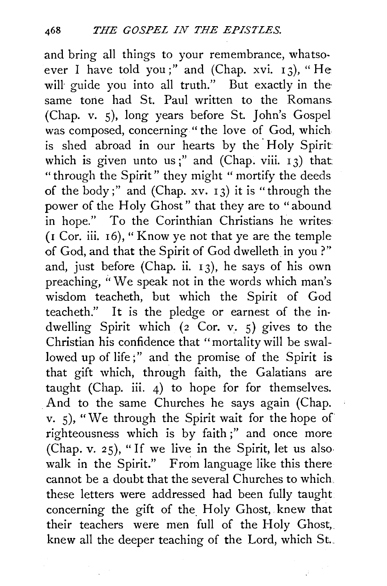and bring all things to your remembrance, whatsoever I have told you;" and (Chap. xvi.  $13$ ), "He will guide you into all truth." But exactly in the same tone had St. Paul written to the Romans. (Chap. v. 5), long years before St. John's Gospel was composed, concerning "the love of God, which is shed abroad in our hearts by the Holy Spirit which is given unto us;" and (Chap. viii.  $13$ ) that "through the Spirit" they might " mortify the deeds of the body;" and  $(Chap. xv. 13)$  it is "through the power of the Holy Ghost" that they are to "abound in hope." To the Corinthian Christians he writes ( 1 Cor. iii. I 6), " Know ye not that ye are the temple of God, and that the Spirit of God dwelleth in you?" and, just before (Chap. ii.  $13$ ), he says of his own preaching, ''We speak not in the words which man's wisdom teacheth, but which the Spirit of God teacheth." It is the pledge or earnest of the indwelling Spirit which  $(z^{\circ}$  Cor. v. 5) gives to the Christian his confidence that "mortality will be swallowed up of life;" and the promise of the Spirit is that gift which, through faith, the Galatians are taught (Chap. iii. 4) to hope for for themselves. And to the same Churches he says again (Chap. V. s), "we through the Spirit wait for the hope of righteousness which is by faith;" and once more (Chap. v. 25), "If we live in the Spirit, let us alsowalk in the Spirit." From language like this there cannot be a doubt that the several Churches to which these letters were addressed had been fully taught concerning the gift of the. Holy Ghost, knew that their teachers were men full of the Holy Ghost, knew all the deeper teaching of the Lord, which St...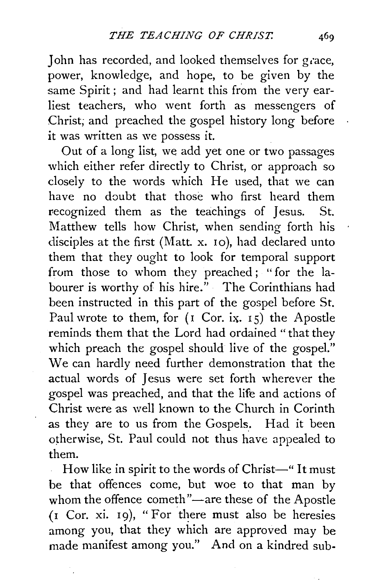John has recorded, and looked themselves for grace, power, knowledge, and hope, to be given by the same Spirit; and had learnt this from the very earliest teachers, who went forth as messengers of Christ; and preached the gospel history long before it was written as we possess it.

Out of a long list, we add yet one or two passages which either refer directly to Christ, or approach so closely to the words which He used, that we can have no doubt that those who first heard them recognized them as the teachings of Jesus. St. Matthew tells how Christ, when sending forth his disciples at the first (Matt. x. 10), had declared unto them that they ought to look for temporal support from those to whom they preached; "for the labourer is worthy of his hire." The Corinthians had been instructed in this part of the gospel before St. Paul wrote to them, for (I Cor. ix. 15) the Apostle reminds them that the Lord had ordained " that they which preach the gospel should live of the gospel." We can hardly need further demonstration that the actual words of Jesus were set forth wherever the gospel was preached, and that the life and actions of Christ were as well known to the Church in Corinth as they are to us from the Gospels. Had it been otherwise, St. Paul could not thus have appealed to them.

How like in spirit to the words of Christ-" It must be that offences come, but woe to that man by whom the offence cometh"-are these of the Apostle  $($ I Cor. xi. 19), "For there must also be heresies among you, that they which are approved may be made manifest among you." And on a kindred sub